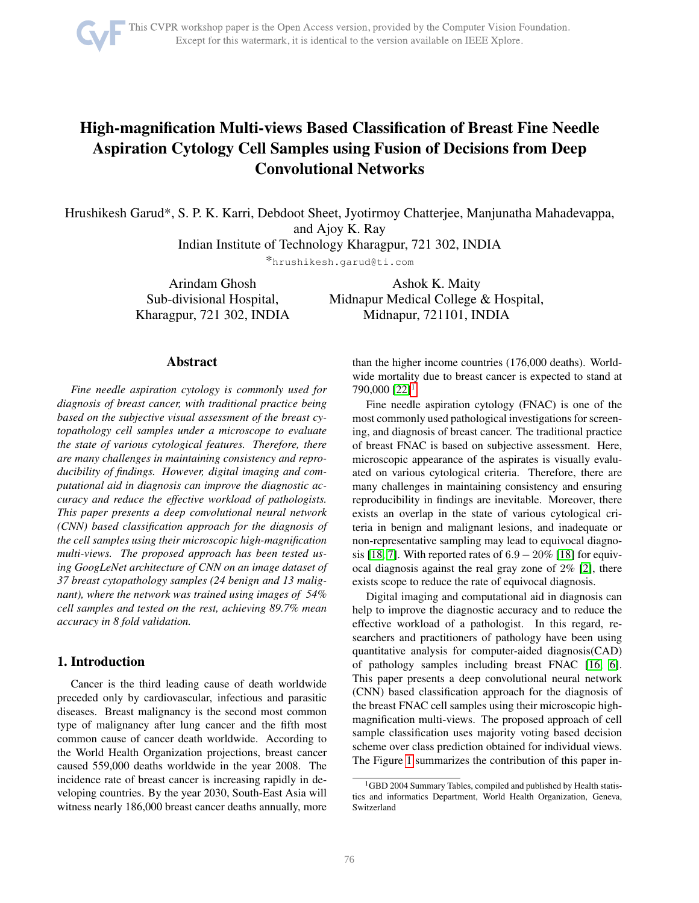

# High-magnification Multi-views Based Classification of Breast Fine Needle Aspiration Cytology Cell Samples using Fusion of Decisions from Deep Convolutional Networks

Hrushikesh Garud\*, S. P. K. Karri, Debdoot Sheet, Jyotirmoy Chatterjee, Manjunatha Mahadevappa, and Ajoy K. Ray

Indian Institute of Technology Kharagpur, 721 302, INDIA

\*hrushikesh.garud@ti.com

Arindam Ghosh Sub-divisional Hospital, Kharagpur, 721 302, INDIA

Ashok K. Maity Midnapur Medical College & Hospital, Midnapur, 721101, INDIA

## Abstract

*Fine needle aspiration cytology is commonly used for diagnosis of breast cancer, with traditional practice being based on the subjective visual assessment of the breast cytopathology cell samples under a microscope to evaluate the state of various cytological features. Therefore, there are many challenges in maintaining consistency and reproducibility of findings. However, digital imaging and computational aid in diagnosis can improve the diagnostic accuracy and reduce the effective workload of pathologists. This paper presents a deep convolutional neural network (CNN) based classification approach for the diagnosis of the cell samples using their microscopic high-magnification multi-views. The proposed approach has been tested using GoogLeNet architecture of CNN on an image dataset of 37 breast cytopathology samples (24 benign and 13 malignant), where the network was trained using images of 54% cell samples and tested on the rest, achieving 89.7% mean accuracy in 8 fold validation.*

# 1. Introduction

Cancer is the third leading cause of death worldwide preceded only by cardiovascular, infectious and parasitic diseases. Breast malignancy is the second most common type of malignancy after lung cancer and the fifth most common cause of cancer death worldwide. According to the World Health Organization projections, breast cancer caused 559,000 deaths worldwide in the year 2008. The incidence rate of breast cancer is increasing rapidly in developing countries. By the year 2030, South-East Asia will witness nearly 186,000 breast cancer deaths annually, more

than the higher income countries (176,000 deaths). Worldwide mortality due to breast cancer is expected to stand at  $790,000$   $[22]$ <sup>[1](#page-0-0)</sup>.

Fine needle aspiration cytology (FNAC) is one of the most commonly used pathological investigations for screening, and diagnosis of breast cancer. The traditional practice of breast FNAC is based on subjective assessment. Here, microscopic appearance of the aspirates is visually evaluated on various cytological criteria. Therefore, there are many challenges in maintaining consistency and ensuring reproducibility in findings are inevitable. Moreover, there exists an overlap in the state of various cytological criteria in benign and malignant lesions, and inadequate or non-representative sampling may lead to equivocal diagno-sis [\[18,](#page-4-1) [7\]](#page-4-2). With reported rates of  $6.9 - 20\%$  [\[18\]](#page-4-1) for equivocal diagnosis against the real gray zone of 2% [\[2\]](#page-4-3), there exists scope to reduce the rate of equivocal diagnosis.

Digital imaging and computational aid in diagnosis can help to improve the diagnostic accuracy and to reduce the effective workload of a pathologist. In this regard, researchers and practitioners of pathology have been using quantitative analysis for computer-aided diagnosis(CAD) of pathology samples including breast FNAC [\[16,](#page-4-4) [6\]](#page-4-5). This paper presents a deep convolutional neural network (CNN) based classification approach for the diagnosis of the breast FNAC cell samples using their microscopic highmagnification multi-views. The proposed approach of cell sample classification uses majority voting based decision scheme over class prediction obtained for individual views. The Figure [1](#page-2-0) summarizes the contribution of this paper in-

<span id="page-0-0"></span><sup>&</sup>lt;sup>1</sup>GBD 2004 Summary Tables, compiled and published by Health statistics and informatics Department, World Health Organization, Geneva, Switzerland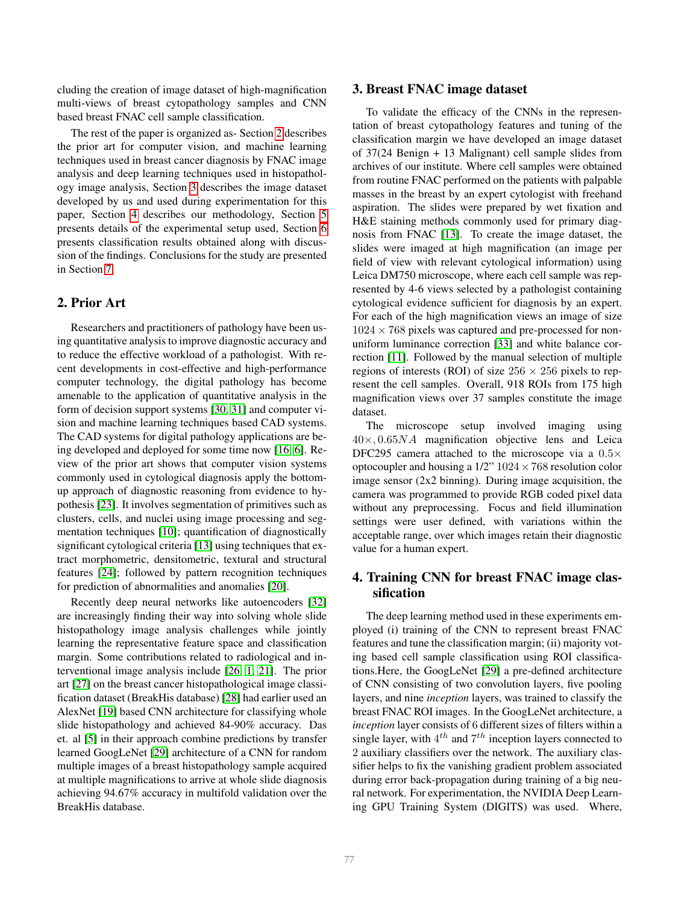cluding the creation of image dataset of high-magnification multi-views of breast cytopathology samples and CNN based breast FNAC cell sample classification.

The rest of the paper is organized as- Section [2](#page-1-0) describes the prior art for computer vision, and machine learning techniques used in breast cancer diagnosis by FNAC image analysis and deep learning techniques used in histopathology image analysis, Section [3](#page-1-1) describes the image dataset developed by us and used during experimentation for this paper, Section [4](#page-1-2) describes our methodology, Section [5](#page-2-1) presents details of the experimental setup used, Section [6](#page-3-0) presents classification results obtained along with discussion of the findings. Conclusions for the study are presented in Section [7.](#page-4-6)

## <span id="page-1-0"></span>2. Prior Art

Researchers and practitioners of pathology have been using quantitative analysis to improve diagnostic accuracy and to reduce the effective workload of a pathologist. With recent developments in cost-effective and high-performance computer technology, the digital pathology has become amenable to the application of quantitative analysis in the form of decision support systems [\[30,](#page-5-0) [31\]](#page-5-1) and computer vision and machine learning techniques based CAD systems. The CAD systems for digital pathology applications are being developed and deployed for some time now [\[16,](#page-4-4) [6\]](#page-4-5). Review of the prior art shows that computer vision systems commonly used in cytological diagnosis apply the bottomup approach of diagnostic reasoning from evidence to hypothesis [\[23\]](#page-5-2). It involves segmentation of primitives such as clusters, cells, and nuclei using image processing and segmentation techniques [\[10\]](#page-4-7); quantification of diagnostically significant cytological criteria [\[13\]](#page-4-8) using techniques that extract morphometric, densitometric, textural and structural features [\[24\]](#page-5-3); followed by pattern recognition techniques for prediction of abnormalities and anomalies [\[20\]](#page-4-9).

Recently deep neural networks like autoencoders [\[32\]](#page-5-4) are increasingly finding their way into solving whole slide histopathology image analysis challenges while jointly learning the representative feature space and classification margin. Some contributions related to radiological and interventional image analysis include [\[26,](#page-5-5) [1,](#page-4-10) [21\]](#page-4-11). The prior art [\[27\]](#page-5-6) on the breast cancer histopathological image classification dataset (BreakHis database) [\[28\]](#page-5-7) had earlier used an AlexNet [\[19\]](#page-4-12) based CNN architecture for classifying whole slide histopathology and achieved 84-90% accuracy. Das et. al [\[5\]](#page-4-13) in their approach combine predictions by transfer learned GoogLeNet [\[29\]](#page-5-8) architecture of a CNN for random multiple images of a breast histopathology sample acquired at multiple magnifications to arrive at whole slide diagnosis achieving 94.67% accuracy in multifold validation over the BreakHis database.

#### <span id="page-1-1"></span>3. Breast FNAC image dataset

To validate the efficacy of the CNNs in the representation of breast cytopathology features and tuning of the classification margin we have developed an image dataset of 37(24 Benign + 13 Malignant) cell sample slides from archives of our institute. Where cell samples were obtained from routine FNAC performed on the patients with palpable masses in the breast by an expert cytologist with freehand aspiration. The slides were prepared by wet fixation and H&E staining methods commonly used for primary diagnosis from FNAC [\[13\]](#page-4-8). To create the image dataset, the slides were imaged at high magnification (an image per field of view with relevant cytological information) using Leica DM750 microscope, where each cell sample was represented by 4-6 views selected by a pathologist containing cytological evidence sufficient for diagnosis by an expert. For each of the high magnification views an image of size  $1024 \times 768$  pixels was captured and pre-processed for nonuniform luminance correction [\[33\]](#page-5-9) and white balance correction [\[11\]](#page-4-14). Followed by the manual selection of multiple regions of interests (ROI) of size  $256 \times 256$  pixels to represent the cell samples. Overall, 918 ROIs from 175 high magnification views over 37 samples constitute the image dataset.

The microscope setup involved imaging using  $40\times, 0.65NA$  magnification objective lens and Leica DFC295 camera attached to the microscope via a  $0.5\times$ optocoupler and housing a  $1/2$ "  $1024 \times 768$  resolution color image sensor (2x2 binning). During image acquisition, the camera was programmed to provide RGB coded pixel data without any preprocessing. Focus and field illumination settings were user defined, with variations within the acceptable range, over which images retain their diagnostic value for a human expert.

# <span id="page-1-2"></span>4. Training CNN for breast FNAC image classification

The deep learning method used in these experiments employed (i) training of the CNN to represent breast FNAC features and tune the classification margin; (ii) majority voting based cell sample classification using ROI classifications.Here, the GoogLeNet [\[29\]](#page-5-8) a pre-defined architecture of CNN consisting of two convolution layers, five pooling layers, and nine *inception* layers, was trained to classify the breast FNAC ROI images. In the GoogLeNet architecture, a *inception* layer consists of 6 different sizes of filters within a single layer, with  $4^{th}$  and  $7^{th}$  inception layers connected to 2 auxiliary classifiers over the network. The auxiliary classifier helps to fix the vanishing gradient problem associated during error back-propagation during training of a big neural network. For experimentation, the NVIDIA Deep Learning GPU Training System (DIGITS) was used. Where,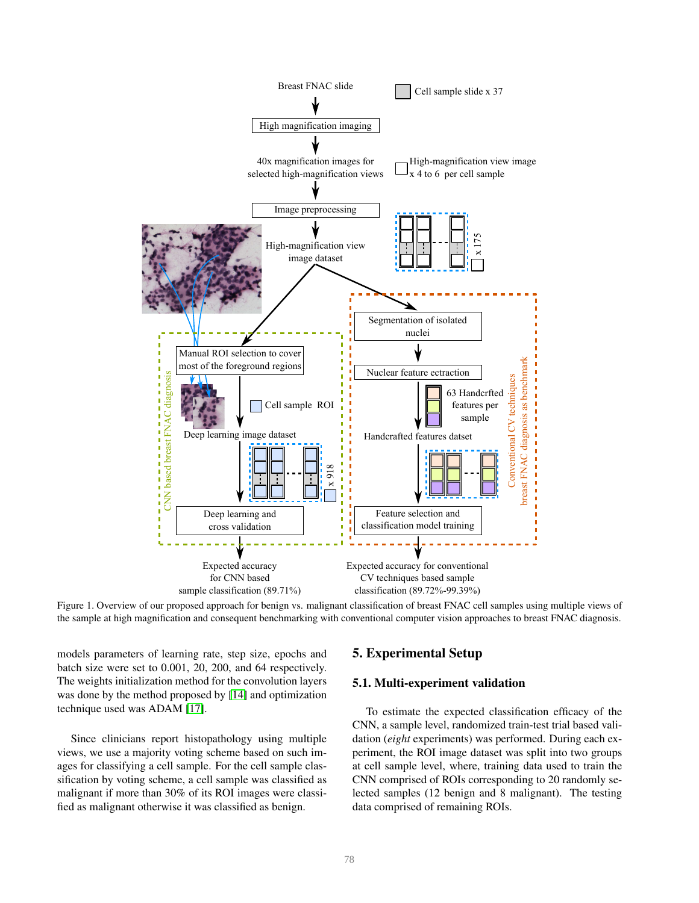

<span id="page-2-0"></span>Figure 1. Overview of our proposed approach for benign vs. malignant classification of breast FNAC cell samples using multiple views of the sample at high magnification and consequent benchmarking with conventional computer vision approaches to breast FNAC diagnosis.

models parameters of learning rate, step size, epochs and batch size were set to 0.001, 20, 200, and 64 respectively. The weights initialization method for the convolution layers was done by the method proposed by [\[14\]](#page-4-15) and optimization technique used was ADAM [\[17\]](#page-4-16).

Since clinicians report histopathology using multiple views, we use a majority voting scheme based on such images for classifying a cell sample. For the cell sample classification by voting scheme, a cell sample was classified as malignant if more than 30% of its ROI images were classified as malignant otherwise it was classified as benign.

## <span id="page-2-1"></span>5. Experimental Setup

#### <span id="page-2-2"></span>5.1. Multi-experiment validation

To estimate the expected classification efficacy of the CNN, a sample level, randomized train-test trial based validation (*eight* experiments) was performed. During each experiment, the ROI image dataset was split into two groups at cell sample level, where, training data used to train the CNN comprised of ROIs corresponding to 20 randomly selected samples (12 benign and 8 malignant). The testing data comprised of remaining ROIs.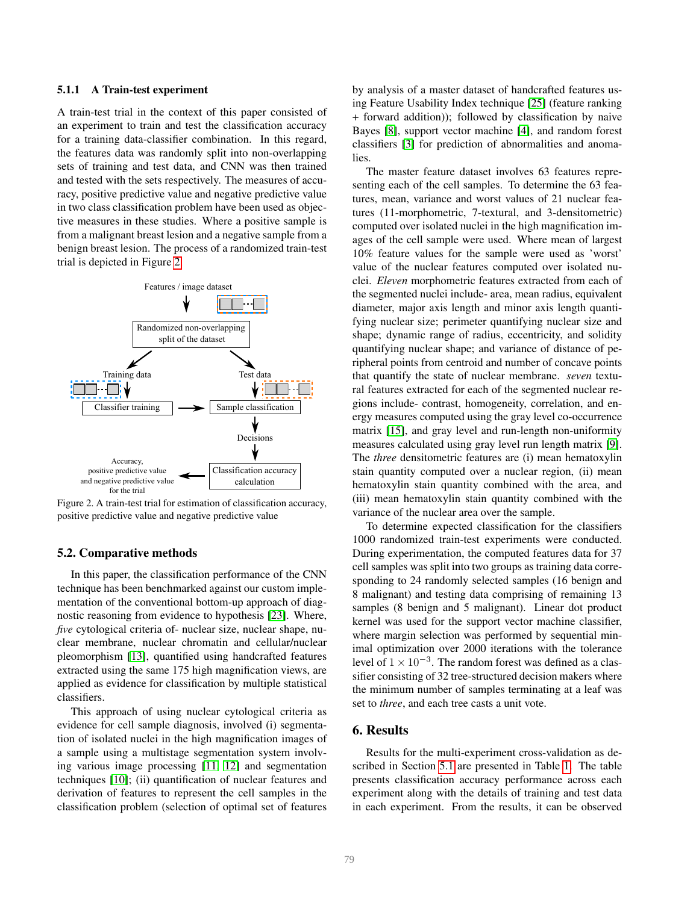#### 5.1.1 A Train-test experiment

A train-test trial in the context of this paper consisted of an experiment to train and test the classification accuracy for a training data-classifier combination. In this regard, the features data was randomly split into non-overlapping sets of training and test data, and CNN was then trained and tested with the sets respectively. The measures of accuracy, positive predictive value and negative predictive value in two class classification problem have been used as objective measures in these studies. Where a positive sample is from a malignant breast lesion and a negative sample from a benign breast lesion. The process of a randomized train-test trial is depicted in Figure [2.](#page-3-1)



<span id="page-3-1"></span>Figure 2. A train-test trial for estimation of classification accuracy, positive predictive value and negative predictive value

#### 5.2. Comparative methods

In this paper, the classification performance of the CNN technique has been benchmarked against our custom implementation of the conventional bottom-up approach of diagnostic reasoning from evidence to hypothesis [\[23\]](#page-5-2). Where, *five* cytological criteria of- nuclear size, nuclear shape, nuclear membrane, nuclear chromatin and cellular/nuclear pleomorphism [\[13\]](#page-4-8), quantified using handcrafted features extracted using the same 175 high magnification views, are applied as evidence for classification by multiple statistical classifiers.

This approach of using nuclear cytological criteria as evidence for cell sample diagnosis, involved (i) segmentation of isolated nuclei in the high magnification images of a sample using a multistage segmentation system involving various image processing [\[11,](#page-4-14) [12\]](#page-4-17) and segmentation techniques [\[10\]](#page-4-7); (ii) quantification of nuclear features and derivation of features to represent the cell samples in the classification problem (selection of optimal set of features by analysis of a master dataset of handcrafted features using Feature Usability Index technique [\[25\]](#page-5-10) (feature ranking + forward addition)); followed by classification by naive Bayes [\[8\]](#page-4-18), support vector machine [\[4\]](#page-4-19), and random forest classifiers [\[3\]](#page-4-20) for prediction of abnormalities and anomalies.

The master feature dataset involves 63 features representing each of the cell samples. To determine the 63 features, mean, variance and worst values of 21 nuclear features (11-morphometric, 7-textural, and 3-densitometric) computed over isolated nuclei in the high magnification images of the cell sample were used. Where mean of largest 10% feature values for the sample were used as 'worst' value of the nuclear features computed over isolated nuclei. *Eleven* morphometric features extracted from each of the segmented nuclei include- area, mean radius, equivalent diameter, major axis length and minor axis length quantifying nuclear size; perimeter quantifying nuclear size and shape; dynamic range of radius, eccentricity, and solidity quantifying nuclear shape; and variance of distance of peripheral points from centroid and number of concave points that quantify the state of nuclear membrane. *seven* textural features extracted for each of the segmented nuclear regions include- contrast, homogeneity, correlation, and energy measures computed using the gray level co-occurrence matrix [\[15\]](#page-4-21), and gray level and run-length non-uniformity measures calculated using gray level run length matrix [\[9\]](#page-4-22). The *three* densitometric features are (i) mean hematoxylin stain quantity computed over a nuclear region, (ii) mean hematoxylin stain quantity combined with the area, and (iii) mean hematoxylin stain quantity combined with the variance of the nuclear area over the sample.

To determine expected classification for the classifiers 1000 randomized train-test experiments were conducted. During experimentation, the computed features data for 37 cell samples was split into two groups as training data corresponding to 24 randomly selected samples (16 benign and 8 malignant) and testing data comprising of remaining 13 samples (8 benign and 5 malignant). Linear dot product kernel was used for the support vector machine classifier, where margin selection was performed by sequential minimal optimization over 2000 iterations with the tolerance level of  $1 \times 10^{-3}$ . The random forest was defined as a classifier consisting of 32 tree-structured decision makers where the minimum number of samples terminating at a leaf was set to *three*, and each tree casts a unit vote.

#### <span id="page-3-0"></span>6. Results

Results for the multi-experiment cross-validation as described in Section [5.1](#page-2-2) are presented in Table [1.](#page-5-11) The table presents classification accuracy performance across each experiment along with the details of training and test data in each experiment. From the results, it can be observed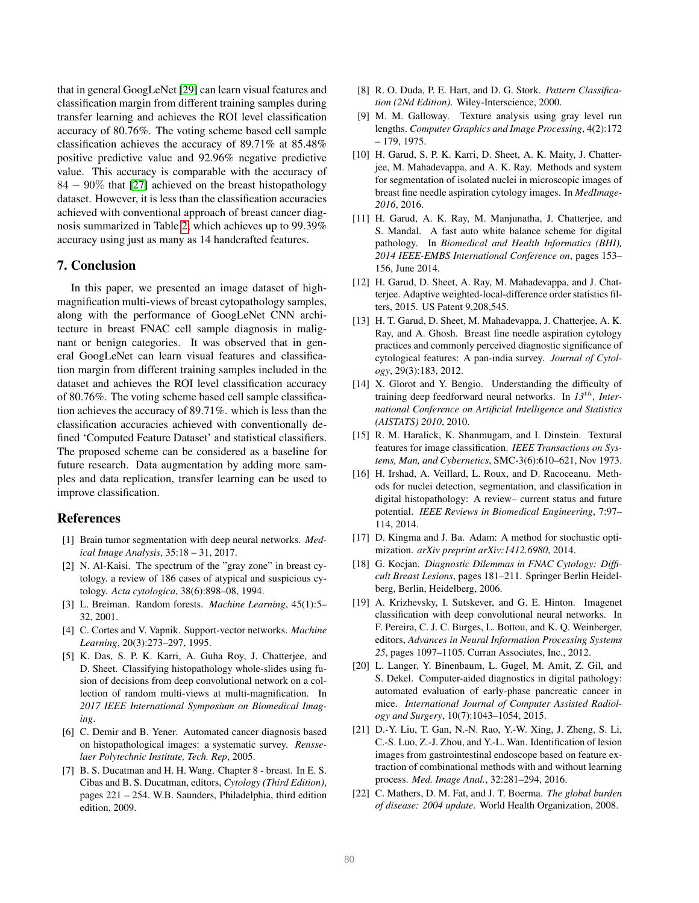that in general GoogLeNet [\[29\]](#page-5-8) can learn visual features and classification margin from different training samples during transfer learning and achieves the ROI level classification accuracy of 80.76%. The voting scheme based cell sample classification achieves the accuracy of 89.71% at 85.48% positive predictive value and 92.96% negative predictive value. This accuracy is comparable with the accuracy of 84 − 90% that [\[27\]](#page-5-6) achieved on the breast histopathology dataset. However, it is less than the classification accuracies achieved with conventional approach of breast cancer diagnosis summarized in Table [2,](#page-5-12) which achieves up to 99.39% accuracy using just as many as 14 handcrafted features.

#### <span id="page-4-6"></span>7. Conclusion

In this paper, we presented an image dataset of highmagnification multi-views of breast cytopathology samples, along with the performance of GoogLeNet CNN architecture in breast FNAC cell sample diagnosis in malignant or benign categories. It was observed that in general GoogLeNet can learn visual features and classification margin from different training samples included in the dataset and achieves the ROI level classification accuracy of 80.76%. The voting scheme based cell sample classification achieves the accuracy of 89.71%. which is less than the classification accuracies achieved with conventionally defined 'Computed Feature Dataset' and statistical classifiers. The proposed scheme can be considered as a baseline for future research. Data augmentation by adding more samples and data replication, transfer learning can be used to improve classification.

#### References

- <span id="page-4-10"></span>[1] Brain tumor segmentation with deep neural networks. *Medical Image Analysis*, 35:18 – 31, 2017.
- <span id="page-4-3"></span>[2] N. Al-Kaisi. The spectrum of the "gray zone" in breast cytology. a review of 186 cases of atypical and suspicious cytology. *Acta cytologica*, 38(6):898–08, 1994.
- <span id="page-4-20"></span>[3] L. Breiman. Random forests. *Machine Learning*, 45(1):5– 32, 2001.
- <span id="page-4-19"></span>[4] C. Cortes and V. Vapnik. Support-vector networks. *Machine Learning*, 20(3):273–297, 1995.
- <span id="page-4-13"></span>[5] K. Das, S. P. K. Karri, A. Guha Roy, J. Chatterjee, and D. Sheet. Classifying histopathology whole-slides using fusion of decisions from deep convolutional network on a collection of random multi-views at multi-magnification. In *2017 IEEE International Symposium on Biomedical Imaging*.
- <span id="page-4-5"></span>[6] C. Demir and B. Yener. Automated cancer diagnosis based on histopathological images: a systematic survey. *Rensselaer Polytechnic Institute, Tech. Rep*, 2005.
- <span id="page-4-2"></span>[7] B. S. Ducatman and H. H. Wang. Chapter 8 - breast. In E. S. Cibas and B. S. Ducatman, editors, *Cytology (Third Edition)*, pages 221 – 254. W.B. Saunders, Philadelphia, third edition edition, 2009.
- <span id="page-4-18"></span>[8] R. O. Duda, P. E. Hart, and D. G. Stork. *Pattern Classification (2Nd Edition)*. Wiley-Interscience, 2000.
- <span id="page-4-22"></span>[9] M. M. Galloway. Texture analysis using gray level run lengths. *Computer Graphics and Image Processing*, 4(2):172 – 179, 1975.
- <span id="page-4-7"></span>[10] H. Garud, S. P. K. Karri, D. Sheet, A. K. Maity, J. Chatterjee, M. Mahadevappa, and A. K. Ray. Methods and system for segmentation of isolated nuclei in microscopic images of breast fine needle aspiration cytology images. In *MedImage-2016*, 2016.
- <span id="page-4-14"></span>[11] H. Garud, A. K. Ray, M. Manjunatha, J. Chatterjee, and S. Mandal. A fast auto white balance scheme for digital pathology. In *Biomedical and Health Informatics (BHI), 2014 IEEE-EMBS International Conference on*, pages 153– 156, June 2014.
- <span id="page-4-17"></span>[12] H. Garud, D. Sheet, A. Ray, M. Mahadevappa, and J. Chatterjee. Adaptive weighted-local-difference order statistics filters, 2015. US Patent 9,208,545.
- <span id="page-4-8"></span>[13] H. T. Garud, D. Sheet, M. Mahadevappa, J. Chatterjee, A. K. Ray, and A. Ghosh. Breast fine needle aspiration cytology practices and commonly perceived diagnostic significance of cytological features: A pan-india survey. *Journal of Cytology*, 29(3):183, 2012.
- <span id="page-4-15"></span>[14] X. Glorot and Y. Bengio. Understanding the difficulty of training deep feedforward neural networks. In *13*th*, International Conference on Artificial Intelligence and Statistics (AISTATS) 2010*, 2010.
- <span id="page-4-21"></span>[15] R. M. Haralick, K. Shanmugam, and I. Dinstein. Textural features for image classification. *IEEE Transactions on Systems, Man, and Cybernetics*, SMC-3(6):610–621, Nov 1973.
- <span id="page-4-4"></span>[16] H. Irshad, A. Veillard, L. Roux, and D. Racoceanu. Methods for nuclei detection, segmentation, and classification in digital histopathology: A review– current status and future potential. *IEEE Reviews in Biomedical Engineering*, 7:97– 114, 2014.
- <span id="page-4-16"></span>[17] D. Kingma and J. Ba. Adam: A method for stochastic optimization. *arXiv preprint arXiv:1412.6980*, 2014.
- <span id="page-4-1"></span>[18] G. Kocjan. *Diagnostic Dilemmas in FNAC Cytology: Difficult Breast Lesions*, pages 181–211. Springer Berlin Heidelberg, Berlin, Heidelberg, 2006.
- <span id="page-4-12"></span>[19] A. Krizhevsky, I. Sutskever, and G. E. Hinton. Imagenet classification with deep convolutional neural networks. In F. Pereira, C. J. C. Burges, L. Bottou, and K. Q. Weinberger, editors, *Advances in Neural Information Processing Systems 25*, pages 1097–1105. Curran Associates, Inc., 2012.
- <span id="page-4-9"></span>[20] L. Langer, Y. Binenbaum, L. Gugel, M. Amit, Z. Gil, and S. Dekel. Computer-aided diagnostics in digital pathology: automated evaluation of early-phase pancreatic cancer in mice. *International Journal of Computer Assisted Radiology and Surgery*, 10(7):1043–1054, 2015.
- <span id="page-4-11"></span>[21] D.-Y. Liu, T. Gan, N.-N. Rao, Y.-W. Xing, J. Zheng, S. Li, C.-S. Luo, Z.-J. Zhou, and Y.-L. Wan. Identification of lesion images from gastrointestinal endoscope based on feature extraction of combinational methods with and without learning process. *Med. Image Anal.*, 32:281–294, 2016.
- <span id="page-4-0"></span>[22] C. Mathers, D. M. Fat, and J. T. Boerma. *The global burden of disease: 2004 update*. World Health Organization, 2008.